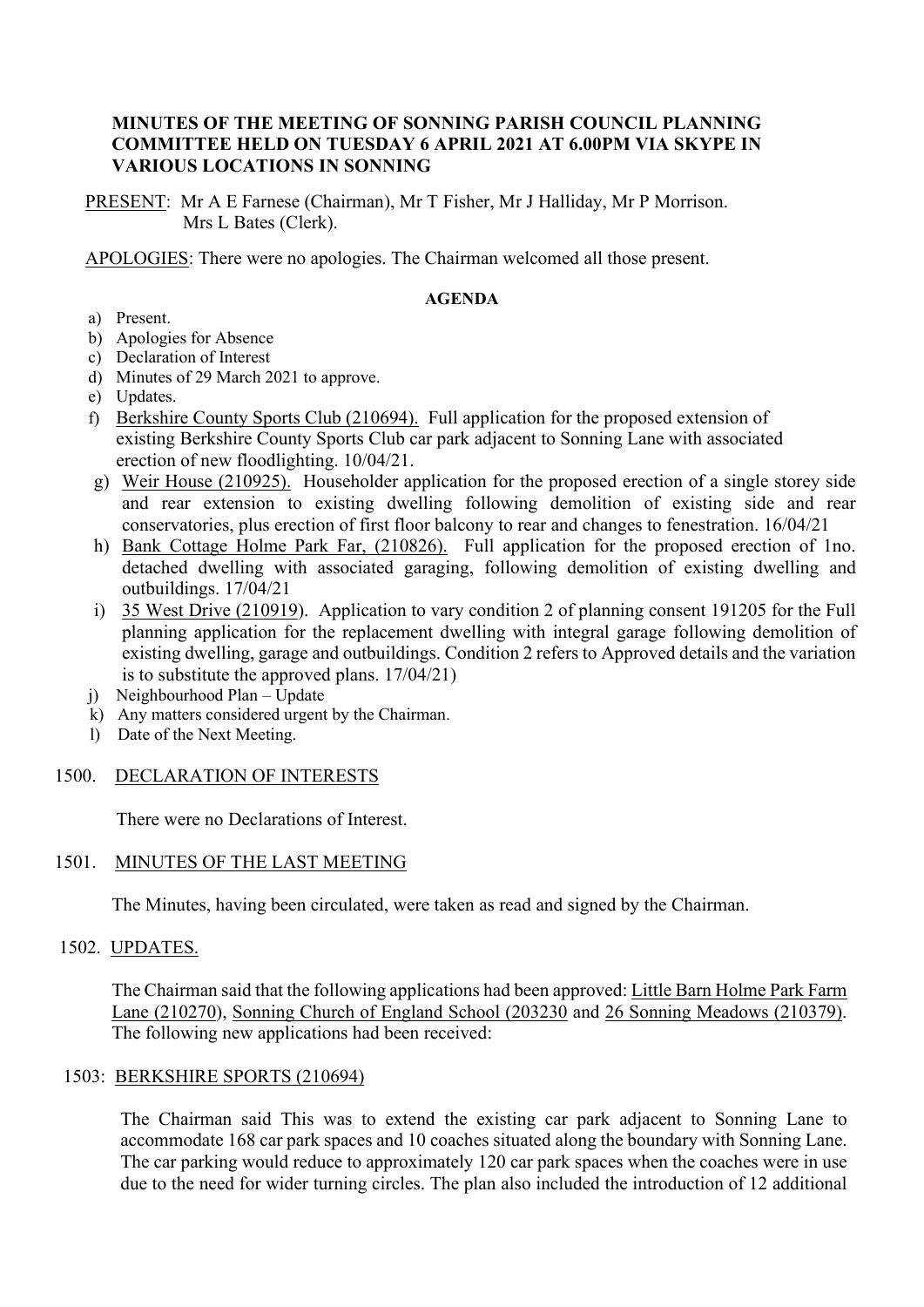## **MINUTES OF THE MEETING OF SONNING PARISH COUNCIL PLANNING COMMITTEE HELD ON TUESDAY 6 APRIL 2021 AT 6.00PM VIA SKYPE IN VARIOUS LOCATIONS IN SONNING**

PRESENT: Mr A E Farnese (Chairman), Mr T Fisher, Mr J Halliday, Mr P Morrison. Mrs L Bates (Clerk).

APOLOGIES: There were no apologies. The Chairman welcomed all those present.

#### **AGENDA**

- a) Present.
- b) Apologies for Absence
- c) Declaration of Interest
- d) Minutes of 29 March 2021 to approve.
- e) Updates.
- f) Berkshire County Sports Club (210694). Full application for the proposed extension of existing Berkshire County Sports Club car park adjacent to Sonning Lane with associated erection of new floodlighting. 10/04/21.
- g) Weir House (210925). Householder application for the proposed erection of a single storey side and rear extension to existing dwelling following demolition of existing side and rear conservatories, plus erection of first floor balcony to rear and changes to fenestration. 16/04/21
- h) Bank Cottage Holme Park Far, (210826). Full application for the proposed erection of 1no. detached dwelling with associated garaging, following demolition of existing dwelling and outbuildings. 17/04/21
- i) 35 West Drive (210919). Application to vary condition 2 of planning consent 191205 for the Full planning application for the replacement dwelling with integral garage following demolition of existing dwelling, garage and outbuildings. Condition 2 refers to Approved details and the variation is to substitute the approved plans. 17/04/21)
- j) Neighbourhood Plan Update
- k) Any matters considered urgent by the Chairman.
- l) Date of the Next Meeting.

## 1500. DECLARATION OF INTERESTS

There were no Declarations of Interest.

## 1501. MINUTES OF THE LAST MEETING

The Minutes, having been circulated, were taken as read and signed by the Chairman.

## 1502. UPDATES.

The Chairman said that the following applications had been approved: Little Barn Holme Park Farm Lane (210270), Sonning Church of England School (203230 and 26 Sonning Meadows (210379). The following new applications had been received:

## 1503: BERKSHIRE SPORTS (210694)

The Chairman said This was to extend the existing car park adjacent to Sonning Lane to accommodate 168 car park spaces and 10 coaches situated along the boundary with Sonning Lane. The car parking would reduce to approximately 120 car park spaces when the coaches were in use due to the need for wider turning circles. The plan also included the introduction of 12 additional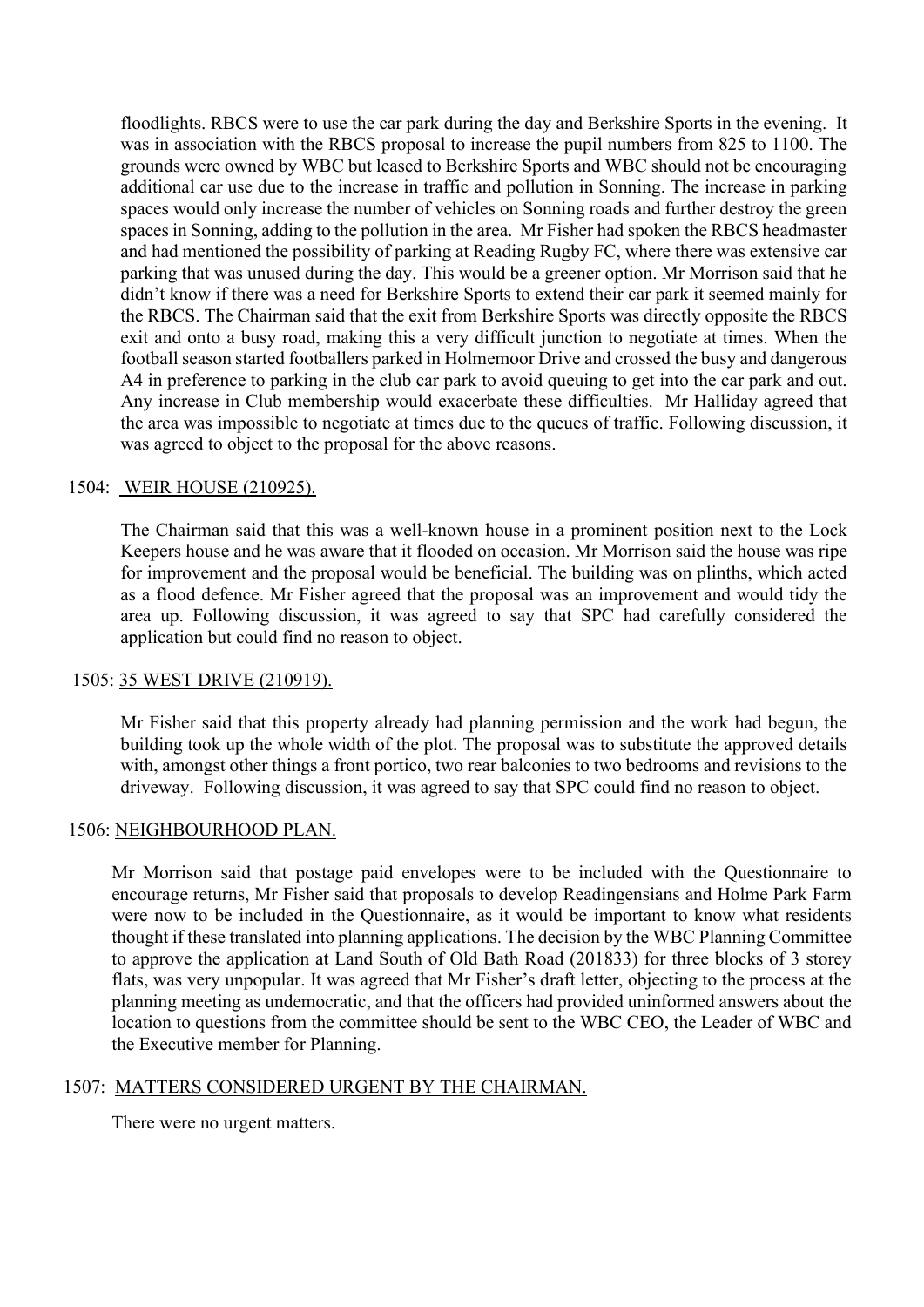floodlights. RBCS were to use the car park during the day and Berkshire Sports in the evening. It was in association with the RBCS proposal to increase the pupil numbers from 825 to 1100. The grounds were owned by WBC but leased to Berkshire Sports and WBC should not be encouraging additional car use due to the increase in traffic and pollution in Sonning. The increase in parking spaces would only increase the number of vehicles on Sonning roads and further destroy the green spaces in Sonning, adding to the pollution in the area. Mr Fisher had spoken the RBCS headmaster and had mentioned the possibility of parking at Reading Rugby FC, where there was extensive car parking that was unused during the day. This would be a greener option. Mr Morrison said that he didn't know if there was a need for Berkshire Sports to extend their car park it seemed mainly for the RBCS. The Chairman said that the exit from Berkshire Sports was directly opposite the RBCS exit and onto a busy road, making this a very difficult junction to negotiate at times. When the football season started footballers parked in Holmemoor Drive and crossed the busy and dangerous A4 in preference to parking in the club car park to avoid queuing to get into the car park and out. Any increase in Club membership would exacerbate these difficulties. Mr Halliday agreed that the area was impossible to negotiate at times due to the queues of traffic. Following discussion, it was agreed to object to the proposal for the above reasons.

## 1504: WEIR HOUSE (210925).

The Chairman said that this was a well-known house in a prominent position next to the Lock Keepers house and he was aware that it flooded on occasion. Mr Morrison said the house was ripe for improvement and the proposal would be beneficial. The building was on plinths, which acted as a flood defence. Mr Fisher agreed that the proposal was an improvement and would tidy the area up. Following discussion, it was agreed to say that SPC had carefully considered the application but could find no reason to object.

## 1505: 35 WEST DRIVE (210919).

Mr Fisher said that this property already had planning permission and the work had begun, the building took up the whole width of the plot. The proposal was to substitute the approved details with, amongst other things a front portico, two rear balconies to two bedrooms and revisions to the driveway. Following discussion, it was agreed to say that SPC could find no reason to object.

## 1506: NEIGHBOURHOOD PLAN.

Mr Morrison said that postage paid envelopes were to be included with the Questionnaire to encourage returns, Mr Fisher said that proposals to develop Readingensians and Holme Park Farm were now to be included in the Questionnaire, as it would be important to know what residents thought if these translated into planning applications. The decision by the WBC Planning Committee to approve the application at Land South of Old Bath Road (201833) for three blocks of 3 storey flats, was very unpopular. It was agreed that Mr Fisher's draft letter, objecting to the process at the planning meeting as undemocratic, and that the officers had provided uninformed answers about the location to questions from the committee should be sent to the WBC CEO, the Leader of WBC and the Executive member for Planning.

## 1507: MATTERS CONSIDERED URGENT BY THE CHAIRMAN.

There were no urgent matters.